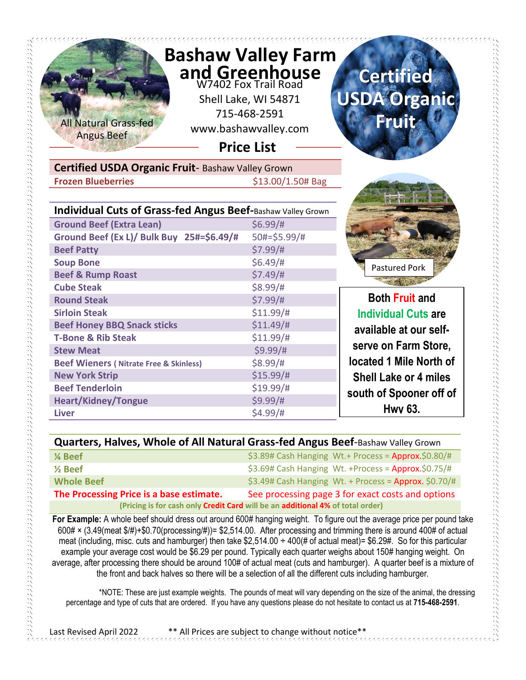

| Quarters, Halves, Whole of All Natural Grass-fed Angus Beef-Bashaw Valley Grown |  |
|---------------------------------------------------------------------------------|--|
|---------------------------------------------------------------------------------|--|

| 1⁄4 Beef                                                                       | \$3.89# Cash Hanging Wt.+ Process = Approx.\$0.80/#     |  |
|--------------------------------------------------------------------------------|---------------------------------------------------------|--|
|                                                                                |                                                         |  |
| $\frac{1}{2}$ Beef                                                             | $$3.69#$ Cash Hanging Wt. +Process = Approx.\$0.75/#    |  |
|                                                                                |                                                         |  |
|                                                                                | $$3.49#$ Cash Hanging Wt. + Process = Approx. $$0.70/#$ |  |
| <b>Whole Beef</b>                                                              |                                                         |  |
|                                                                                |                                                         |  |
| The Processing Price is a base estimate.                                       | See processing page 3 for exact costs and options       |  |
| (Pricing is for cash only Credit Card will be an additional 4% of total order) |                                                         |  |
|                                                                                |                                                         |  |

**For Example:** A whole beef should dress out around 600# hanging weight. To figure out the average price per pound take 600# × (3.49(meat \$/#)+\$0.70(processing/#))= \$2,514.00. After processing and trimming there is around 400# of actual meat (including, misc. cuts and hamburger) then take \$2,514.00  $\div$  400(# of actual meat)= \$6.29#. So for this particular example your average cost would be \$6.29 per pound. Typically each quarter weighs about 150# hanging weight. On average, after processing there should be around 100# of actual meat (cuts and hamburger). A quarter beef is a mixture of the front and back halves so there will be a selection of all the different cuts including hamburger.

 \*NOTE: These are just example weights. The pounds of meat will vary depending on the size of the animal, the dressing percentage and type of cuts that are ordered. If you have any questions please do not hesitate to contact us at **715-468-2591**.

Last Revised April 2022 \*\* All Prices are subject to change without notice\*\*

e de la provincia de la provincia de la provincia de la provincia de la provincia de la provincia de la provin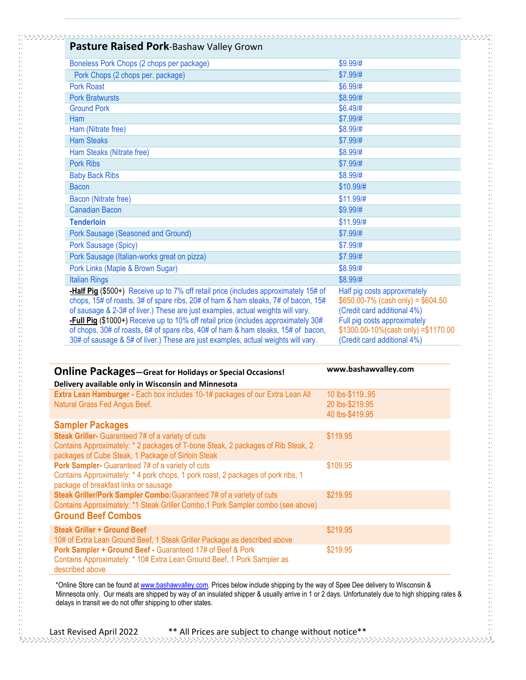| Pasture Raised Pork-Bashaw Valley Grown                                                                                                                                                                                                                                                                                                                                                                                                                                                                                     |                                                                                                                                                                                                            |
|-----------------------------------------------------------------------------------------------------------------------------------------------------------------------------------------------------------------------------------------------------------------------------------------------------------------------------------------------------------------------------------------------------------------------------------------------------------------------------------------------------------------------------|------------------------------------------------------------------------------------------------------------------------------------------------------------------------------------------------------------|
| Boneless Pork Chops (2 chops per package)                                                                                                                                                                                                                                                                                                                                                                                                                                                                                   | $$9.99$ /#                                                                                                                                                                                                 |
| Pork Chops (2 chops per. package)                                                                                                                                                                                                                                                                                                                                                                                                                                                                                           | \$7.99/#                                                                                                                                                                                                   |
| <b>Pork Roast</b>                                                                                                                                                                                                                                                                                                                                                                                                                                                                                                           | \$6.99/#                                                                                                                                                                                                   |
| <b>Pork Bratwursts</b>                                                                                                                                                                                                                                                                                                                                                                                                                                                                                                      | \$8.99/#                                                                                                                                                                                                   |
| <b>Ground Pork</b>                                                                                                                                                                                                                                                                                                                                                                                                                                                                                                          | \$6.49/#                                                                                                                                                                                                   |
| Ham                                                                                                                                                                                                                                                                                                                                                                                                                                                                                                                         | \$7.99/#                                                                                                                                                                                                   |
| Ham (Nitrate free)                                                                                                                                                                                                                                                                                                                                                                                                                                                                                                          | \$8.99/#                                                                                                                                                                                                   |
| <b>Ham Steaks</b>                                                                                                                                                                                                                                                                                                                                                                                                                                                                                                           | \$7.99/#                                                                                                                                                                                                   |
| Ham Steaks (Nitrate free)                                                                                                                                                                                                                                                                                                                                                                                                                                                                                                   | \$8.99/#                                                                                                                                                                                                   |
| <b>Pork Ribs</b>                                                                                                                                                                                                                                                                                                                                                                                                                                                                                                            | \$7.99/#                                                                                                                                                                                                   |
| <b>Baby Back Ribs</b>                                                                                                                                                                                                                                                                                                                                                                                                                                                                                                       | \$8.99/#                                                                                                                                                                                                   |
| <b>Bacon</b>                                                                                                                                                                                                                                                                                                                                                                                                                                                                                                                | \$10.99/#                                                                                                                                                                                                  |
| Bacon (Nitrate free)                                                                                                                                                                                                                                                                                                                                                                                                                                                                                                        | \$11.99/#                                                                                                                                                                                                  |
| <b>Canadian Bacon</b>                                                                                                                                                                                                                                                                                                                                                                                                                                                                                                       | \$9.99/#                                                                                                                                                                                                   |
| <b>Tenderloin</b>                                                                                                                                                                                                                                                                                                                                                                                                                                                                                                           | \$11.99/#                                                                                                                                                                                                  |
| Pork Sausage (Seasoned and Ground)                                                                                                                                                                                                                                                                                                                                                                                                                                                                                          | \$7.99/#                                                                                                                                                                                                   |
| Pork Sausage (Spicy)                                                                                                                                                                                                                                                                                                                                                                                                                                                                                                        | \$7.99/#                                                                                                                                                                                                   |
| Pork Sausage (Italian-works great on pizza)                                                                                                                                                                                                                                                                                                                                                                                                                                                                                 | \$7.99/#                                                                                                                                                                                                   |
| Pork Links (Maple & Brown Sugar)                                                                                                                                                                                                                                                                                                                                                                                                                                                                                            | \$8.99/#                                                                                                                                                                                                   |
| <b>Italian Rings</b>                                                                                                                                                                                                                                                                                                                                                                                                                                                                                                        | \$8.99/#                                                                                                                                                                                                   |
| -Half Pig (\$500+) Receive up to 7% off retail price (includes approximately 15# of<br>chops, 15# of roasts, 3# of spare ribs, 20# of ham & ham steaks, 7# of bacon, 15#<br>of sausage & 2-3# of liver.) These are just examples, actual weights will vary.<br>-Full Pig (\$1000+) Receive up to 10% off retail price (includes approximately 30#<br>of chops, 30# of roasts, 6# of spare ribs, 40# of ham & ham steaks, 15# of bacon,<br>30# of sausage & 5# of liver.) These are just examples, actual weights will vary. | Half pig costs approximately<br>$$650.00-7\%$ (cash only) = \$604.50<br>(Credit card additional 4%)<br>Full pig costs approximately<br>\$1300.00-10%(cash only) = \$1170.00<br>(Credit card additional 4%) |

| <b>Online Packages-Great for Holidays or Special Occasions!</b>                                                                                                                             | www.bashawvalley.com                                  |
|---------------------------------------------------------------------------------------------------------------------------------------------------------------------------------------------|-------------------------------------------------------|
| Delivery available only in Wisconsin and Minnesota                                                                                                                                          |                                                       |
| Extra Lean Hamburger - Each box includes 10-1# packages of our Extra Lean All<br>Natural Grass Fed Angus Beef.                                                                              | 10 lbs-\$119.95<br>20 lbs-\$219.95<br>40 lbs-\$419.95 |
| <b>Sampler Packages</b>                                                                                                                                                                     |                                                       |
| Steak Griller- Guaranteed 7# of a variety of cuts<br>Contains Approximately: * 2 packages of T-bone Steak, 2 packages of Rib Steak, 2<br>packages of Cube Steak, 1 Package of Sirloin Steak | \$119.95                                              |
| Pork Sampler- Guaranteed 7# of a variety of cuts<br>Contains Approximately: * 4 pork chops, 1 pork roast, 2 packages of pork ribs, 1<br>package of breakfast links or sausage               | \$109.95                                              |
| Steak Griller/Pork Sampler Combo: Guaranteed 7# of a variety of cuts<br>Contains Approximately: *1 Steak Griller Combo, 1 Pork Sampler combo (see above)<br><b>Ground Beef Combos</b>       | \$219.95                                              |
| <b>Steak Griller + Ground Beef</b><br>10# of Extra Lean Ground Beef, 1 Steak Griller Package as described above                                                                             | \$219.95                                              |
| Pork Sampler + Ground Beef - Guaranteed 17# of Beef & Pork<br>Contains Approximately: * 10# Extra Lean Ground Beef, 1 Pork Sampler as<br>described above                                    | \$219.95                                              |

\*Online Store can be found at [www.bashawvalley.com.](http://www.bashawvalley.com/) Prices below include shipping by the way of Spee Dee delivery to Wisconsin & Minnesota only. Our meats are shipped by way of an insulated shipper & usually arrive in 1 or 2 days. Unfortunately due to high shipping rates & delays in transit we do not offer shipping to other states.

Last Revised April 2022 \*\* All Prices are subject to change without notice\*\*

 $\langle \rangle$